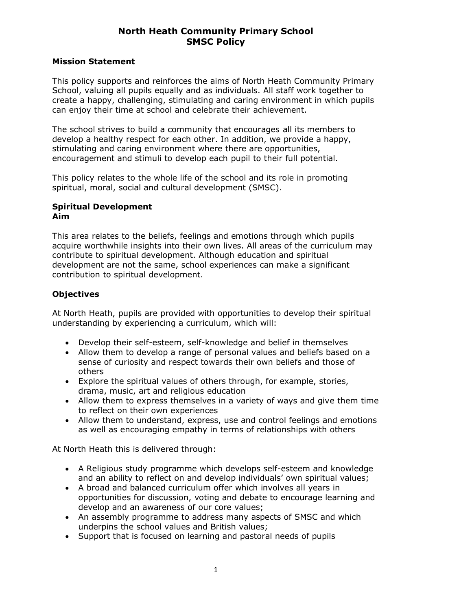### **Mission Statement**

This policy supports and reinforces the aims of North Heath Community Primary School, valuing all pupils equally and as individuals. All staff work together to create a happy, challenging, stimulating and caring environment in which pupils can enjoy their time at school and celebrate their achievement.

The school strives to build a community that encourages all its members to develop a healthy respect for each other. In addition, we provide a happy, stimulating and caring environment where there are opportunities, encouragement and stimuli to develop each pupil to their full potential.

This policy relates to the whole life of the school and its role in promoting spiritual, moral, social and cultural development (SMSC).

#### **Spiritual Development Aim**

This area relates to the beliefs, feelings and emotions through which pupils acquire worthwhile insights into their own lives. All areas of the curriculum may contribute to spiritual development. Although education and spiritual development are not the same, school experiences can make a significant contribution to spiritual development.

## **Objectives**

At North Heath, pupils are provided with opportunities to develop their spiritual understanding by experiencing a curriculum, which will:

- Develop their self-esteem, self-knowledge and belief in themselves
- Allow them to develop a range of personal values and beliefs based on a sense of curiosity and respect towards their own beliefs and those of others
- Explore the spiritual values of others through, for example, stories, drama, music, art and religious education
- Allow them to express themselves in a variety of ways and give them time to reflect on their own experiences
- Allow them to understand, express, use and control feelings and emotions as well as encouraging empathy in terms of relationships with others

At North Heath this is delivered through:

- A Religious study programme which develops self-esteem and knowledge and an ability to reflect on and develop individuals' own spiritual values;
- A broad and balanced curriculum offer which involves all years in opportunities for discussion, voting and debate to encourage learning and develop and an awareness of our core values;
- An assembly programme to address many aspects of SMSC and which underpins the school values and British values;
- Support that is focused on learning and pastoral needs of pupils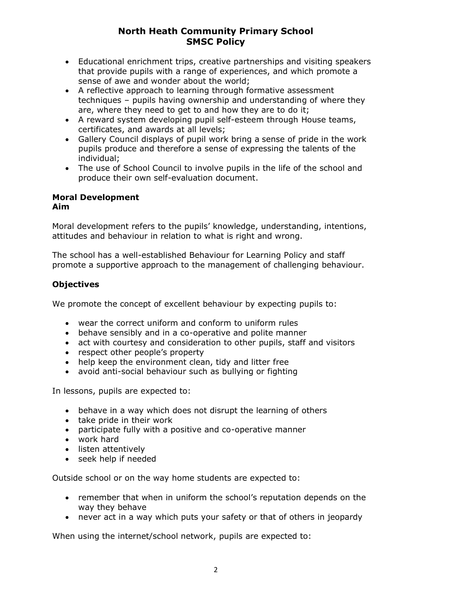- Educational enrichment trips, creative partnerships and visiting speakers that provide pupils with a range of experiences, and which promote a sense of awe and wonder about the world;
- A reflective approach to learning through formative assessment techniques – pupils having ownership and understanding of where they are, where they need to get to and how they are to do it;
- A reward system developing pupil self-esteem through House teams, certificates, and awards at all levels;
- Gallery Council displays of pupil work bring a sense of pride in the work pupils produce and therefore a sense of expressing the talents of the individual;
- The use of School Council to involve pupils in the life of the school and produce their own self-evaluation document.

#### **Moral Development Aim**

Moral development refers to the pupils' knowledge, understanding, intentions, attitudes and behaviour in relation to what is right and wrong.

The school has a well-established Behaviour for Learning Policy and staff promote a supportive approach to the management of challenging behaviour.

# **Objectives**

We promote the concept of excellent behaviour by expecting pupils to:

- wear the correct uniform and conform to uniform rules
- behave sensibly and in a co-operative and polite manner
- act with courtesy and consideration to other pupils, staff and visitors
- respect other people's property
- help keep the environment clean, tidy and litter free
- avoid anti-social behaviour such as bullying or fighting

In lessons, pupils are expected to:

- behave in a way which does not disrupt the learning of others
- take pride in their work
- participate fully with a positive and co-operative manner
- work hard
- listen attentively
- seek help if needed

Outside school or on the way home students are expected to:

- remember that when in uniform the school's reputation depends on the way they behave
- never act in a way which puts your safety or that of others in jeopardy

When using the internet/school network, pupils are expected to: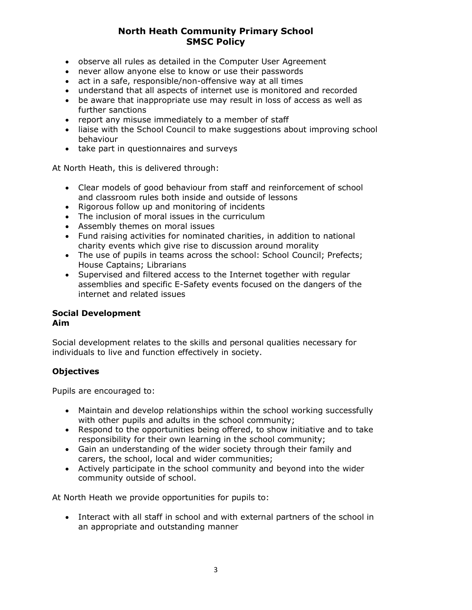- observe all rules as detailed in the Computer User Agreement
- never allow anyone else to know or use their passwords
- act in a safe, responsible/non-offensive way at all times
- understand that all aspects of internet use is monitored and recorded
- be aware that inappropriate use may result in loss of access as well as further sanctions
- report any misuse immediately to a member of staff
- liaise with the School Council to make suggestions about improving school behaviour
- take part in questionnaires and surveys

At North Heath, this is delivered through:

- Clear models of good behaviour from staff and reinforcement of school and classroom rules both inside and outside of lessons
- Rigorous follow up and monitoring of incidents
- The inclusion of moral issues in the curriculum
- Assembly themes on moral issues
- Fund raising activities for nominated charities, in addition to national charity events which give rise to discussion around morality
- The use of pupils in teams across the school: School Council; Prefects; House Captains; Librarians
- Supervised and filtered access to the Internet together with regular assemblies and specific E-Safety events focused on the dangers of the internet and related issues

# **Social Development**

#### **Aim**

Social development relates to the skills and personal qualities necessary for individuals to live and function effectively in society.

### **Objectives**

Pupils are encouraged to:

- Maintain and develop relationships within the school working successfully with other pupils and adults in the school community;
- Respond to the opportunities being offered, to show initiative and to take responsibility for their own learning in the school community;
- Gain an understanding of the wider society through their family and carers, the school, local and wider communities;
- Actively participate in the school community and beyond into the wider community outside of school.

At North Heath we provide opportunities for pupils to:

• Interact with all staff in school and with external partners of the school in an appropriate and outstanding manner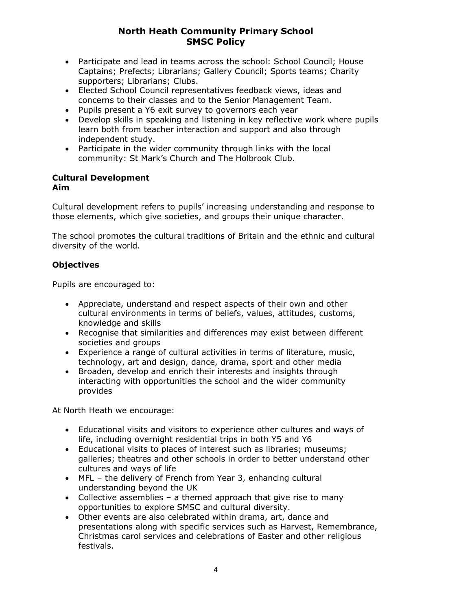- Participate and lead in teams across the school: School Council; House Captains; Prefects; Librarians; Gallery Council; Sports teams; Charity supporters; Librarians; Clubs.
- Elected School Council representatives feedback views, ideas and concerns to their classes and to the Senior Management Team.
- Pupils present a Y6 exit survey to governors each year
- Develop skills in speaking and listening in key reflective work where pupils learn both from teacher interaction and support and also through independent study.
- Participate in the wider community through links with the local community: St Mark's Church and The Holbrook Club.

### **Cultural Development Aim**

Cultural development refers to pupils' increasing understanding and response to those elements, which give societies, and groups their unique character.

The school promotes the cultural traditions of Britain and the ethnic and cultural diversity of the world.

# **Objectives**

Pupils are encouraged to:

- Appreciate, understand and respect aspects of their own and other cultural environments in terms of beliefs, values, attitudes, customs, knowledge and skills
- Recognise that similarities and differences may exist between different societies and groups
- Experience a range of cultural activities in terms of literature, music, technology, art and design, dance, drama, sport and other media
- Broaden, develop and enrich their interests and insights through interacting with opportunities the school and the wider community provides

At North Heath we encourage:

- Educational visits and visitors to experience other cultures and ways of life, including overnight residential trips in both Y5 and Y6
- Educational visits to places of interest such as libraries; museums; galleries; theatres and other schools in order to better understand other cultures and ways of life
- MFL the delivery of French from Year 3, enhancing cultural understanding beyond the UK
- Collective assemblies a themed approach that give rise to many opportunities to explore SMSC and cultural diversity.
- Other events are also celebrated within drama, art, dance and presentations along with specific services such as Harvest, Remembrance, Christmas carol services and celebrations of Easter and other religious festivals.